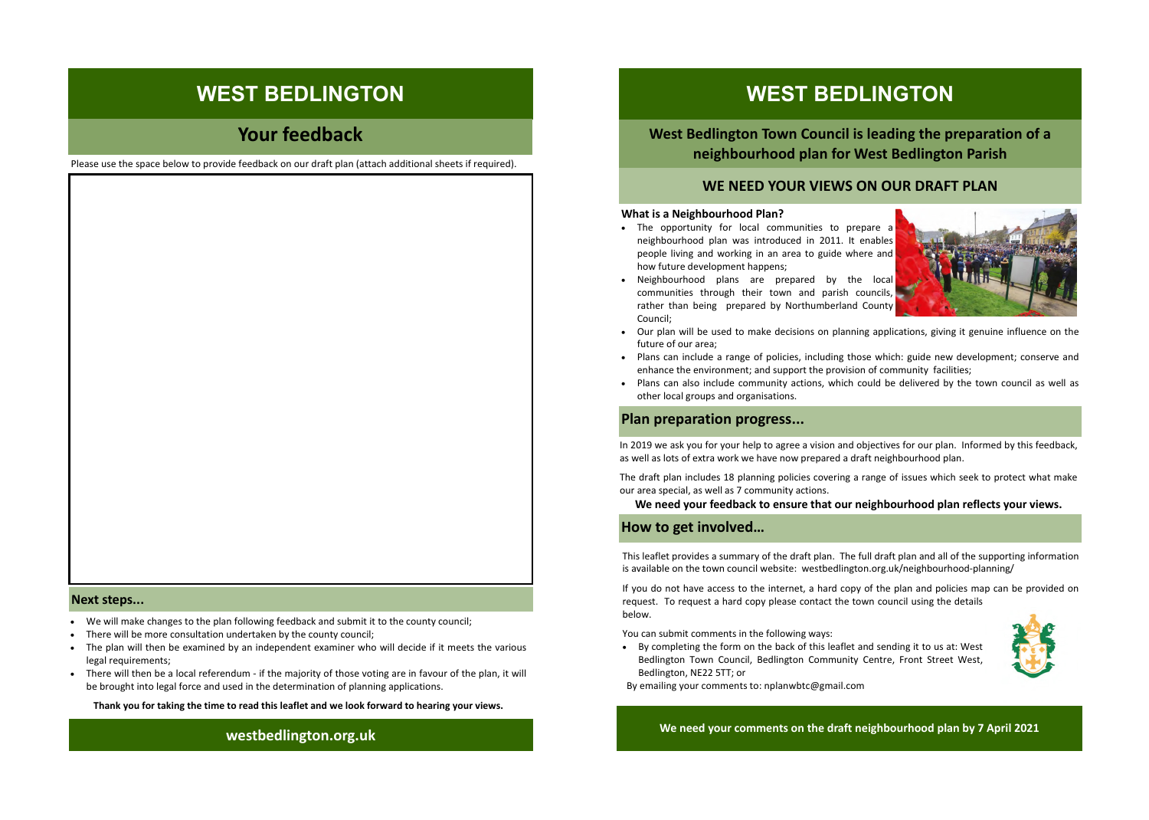# **Your feedback**

Please use the space below to provide feedback on our draft plan (attach additional sheets if required).

#### **Next steps...**

- We will make changes to the plan following feedback and submit it to the county council;
- There will be more consultation undertaken by the county council;
- The plan will then be examined by an independent examiner who will decide if it meets the various legal requirements;
- There will then be a local referendum if the majority of those voting are in favour of the plan, it will be brought into legal force and used in the determination of planning applications.

 **Thank you for taking the time to read this leaflet and we look forward to hearing your views.**

# **WEST BEDLINGTON**

 **West Bedlington Town Council is leading the preparation of a neighbourhood plan for West Bedlington Parish**

### **WE NEED YOUR VIEWS ON OUR DRAFT PLAN**

#### **What is a Neighbourhood Plan?**

 The opportunity for local communities to prepare a neighbourhood plan was introduced in 2011. It enables people living and working in an area to guide where and how future development happens;



- Neighbourhood plans are prepared by the local communities through their town and parish councils, rather than being prepared by Northumberland County **The Channel Countries of the Channel Countries (Separate Countries Countries Countries Countries Countries Countries Countries Countries Countries Countries Countries Countries Countries Countries Countries Countries Cou**  $\begin{array}{c|c|c|c|c} \textbf{WES} & \textbf{BEDLING TON} & \textbf{WES} & \textbf{BEDLING TON} \\[2mm] \textbf{WSE} & \textbf{BEDLING TON} & \textbf{WSE} & \textbf{BEDLING TON} \\[2mm] \textbf{WSE} & \textbf{BSE} & \textbf{BSE} & \textbf{BSE} & \textbf{BSE} & \textbf{BSE} & \textbf{BSE} & \textbf{BSE} \\[2mm] \textbf{WSE} & \textbf{BSE} & \textbf{BSE} & \textbf{BSE} & \textbf{BSE} & \textbf{BSE} & \$ Council;
	- Our plan will be used to make decisions on planning applications, giving it genuine influence on the future of our area;
	- Plans can include a range of policies, including those which: guide new development; conserve and enhance the environment; and support the provision of community facilities;
	- Plans can also include community actions, which could be delivered by the town council as well as other local groups and organisations.

### **Plan preparation progress...**

 In 2019 we ask you for your help to agree a vision and objectives for our plan. Informed by this feedback, as well as lots of extra work we have now prepared a draft neighbourhood plan.

 The draft plan includes 18 planning policies covering a range of issues which seek to protect what make as well as lots of extra work we happose the draft plan includes 18 planni<br>
our area special, as well as 7 comm<br> **We need your feedback to How to get involved...** our area special, as well as 7 community actions.

#### **We need your feedback to ensure that our neighbourhood plan reflects your views.**

 This leaflet provides a summary of the draft plan. The full draft plan and all of the supporting information is available on the town council website: westbedlington.org.uk/neighbourhood-planning/

 If you do not have access to the internet, a hard copy of the plan and policies map can be provided on request. To request a hard copy please contact the town council using the details below.

You can submit comments in the following ways:

 By completing the form on the back of this leaflet and sending it to us at: West Bedlington Town Council, Bedlington Community Centre, Front Street West, Bedlington, NE22 5TT; or



By emailing your comments to: nplanwbtc@gmail.com

 **westbedlington.org.uk We need your comments on the draft neighbourhood plan by <sup>7</sup> April <sup>2021</sup>**